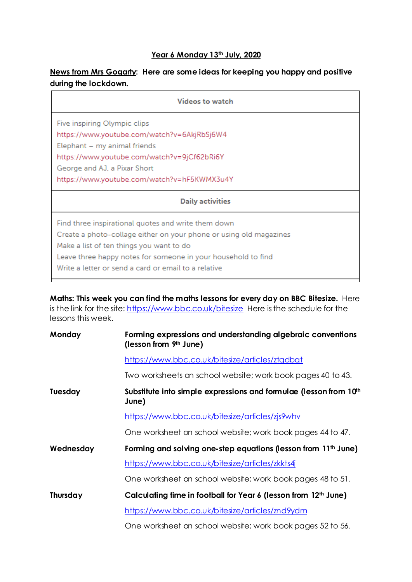#### **Year 6 Monday 13th July, 2020**

#### **News from Mrs Gogarty: Here are some ideas for keeping you happy and positive during the lockdown.**

| Videos to watch                                                    |  |  |  |  |  |  |
|--------------------------------------------------------------------|--|--|--|--|--|--|
| Five inspiring Olympic clips                                       |  |  |  |  |  |  |
| https://www.youtube.com/watch?v=6AkjRbSj6W4                        |  |  |  |  |  |  |
| Elephant - my animal friends                                       |  |  |  |  |  |  |
| https://www.youtube.com/watch?v=9jCf62bRi6Y                        |  |  |  |  |  |  |
| George and AJ, a Pixar Short                                       |  |  |  |  |  |  |
| https://www.youtube.com/watch?v=hF5KWMX3u4Y                        |  |  |  |  |  |  |
| <b>Daily activities</b>                                            |  |  |  |  |  |  |
| Find three inspirational quotes and write them down                |  |  |  |  |  |  |
| Create a photo-collage either on your phone or using old magazines |  |  |  |  |  |  |
| Make a list of ten things you want to do                           |  |  |  |  |  |  |
| Leave three happy notes for someone in your household to find      |  |  |  |  |  |  |
| Write a letter or send a card or email to a relative               |  |  |  |  |  |  |

**Maths: This week you can find the maths lessons for every day on BBC Bitesize.** Here is the link for the site: <https://www.bbc.co.uk/bitesize> Here is the schedule for the lessons this week.

| Monday         | Forming expressions and understanding algebraic conventions<br>(lesson from 9th June)<br>https://www.bbc.co.uk/bitesize/articles/ztqdbqt |  |  |  |  |  |
|----------------|------------------------------------------------------------------------------------------------------------------------------------------|--|--|--|--|--|
|                |                                                                                                                                          |  |  |  |  |  |
|                | Two worksheets on school website; work book pages 40 to 43.                                                                              |  |  |  |  |  |
| <b>Tuesday</b> | Substitute into simple expressions and formulae (lesson from 10th<br>June)                                                               |  |  |  |  |  |
|                | https://www.bbc.co.uk/bitesize/articles/zjs9whv                                                                                          |  |  |  |  |  |
|                | One worksheet on school website; work book pages 44 to 47.                                                                               |  |  |  |  |  |
| Wednesday      | Forming and solving one-step equations (lesson from 11 <sup>th</sup> June)                                                               |  |  |  |  |  |
|                | https://www.bbc.co.uk/bitesize/articles/zkkts4j                                                                                          |  |  |  |  |  |
|                | One worksheet on school website; work book pages 48 to 51.                                                                               |  |  |  |  |  |
| Thursday       | Calculating time in football for Year 6 (lesson from 12 <sup>th</sup> June)                                                              |  |  |  |  |  |
|                | https://www.bbc.co.uk/bitesize/articles/znd9ydm                                                                                          |  |  |  |  |  |
|                | One worksheet on school website; work book pages 52 to 56.                                                                               |  |  |  |  |  |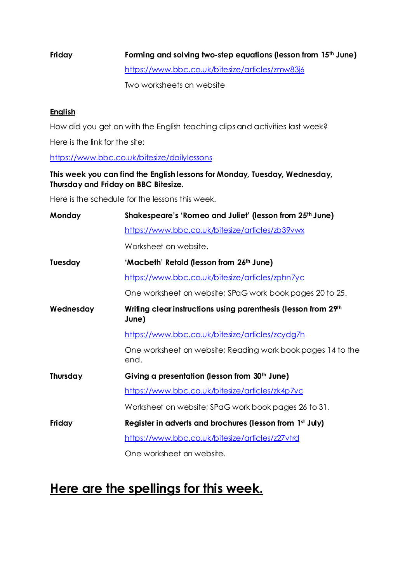### **Friday Forming and solving two-step equations (lesson from 15th June)** <https://www.bbc.co.uk/bitesize/articles/zmw83j6>

Two worksheets on website

#### **English**

How did you get on with the English teaching clips and activities last week?

Here is the link for the site:

<https://www.bbc.co.uk/bitesize/dailylessons>

#### **This week you can find the English lessons for Monday, Tuesday, Wednesday, Thursday and Friday on BBC Bitesize.**

Here is the schedule for the lessons this week.

| Monday         | Shakespeare's 'Romeo and Juliet' (lesson from 25th June)                |  |  |  |  |
|----------------|-------------------------------------------------------------------------|--|--|--|--|
|                | https://www.bbc.co.uk/bitesize/articles/zb39vwx                         |  |  |  |  |
|                | Worksheet on website.                                                   |  |  |  |  |
| <b>Tuesday</b> | 'Macbeth' Retold (lesson from 26th June)                                |  |  |  |  |
|                | https://www.bbc.co.uk/bitesize/articles/zphn7yc                         |  |  |  |  |
|                | One worksheet on website; SPaG work book pages 20 to 25.                |  |  |  |  |
| Wednesday      | Writing clear instructions using parenthesis (lesson from 29th<br>June) |  |  |  |  |
|                | https://www.bbc.co.uk/bitesize/articles/zcydg7h                         |  |  |  |  |
|                | One worksheet on website; Reading work book pages 14 to the<br>end.     |  |  |  |  |
| Thursday       | Giving a presentation (lesson from 30th June)                           |  |  |  |  |
|                | https://www.bbc.co.uk/bitesize/articles/zk4p7yc                         |  |  |  |  |
|                | Worksheet on website; SPaG work book pages 26 to 31.                    |  |  |  |  |
| Friday         | Register in adverts and brochures (lesson from 1st July)                |  |  |  |  |
|                | https://www.bbc.co.uk/bitesize/articles/z27vtrd                         |  |  |  |  |
|                | One worksheet on website.                                               |  |  |  |  |

## **Here are the spellings for this week.**